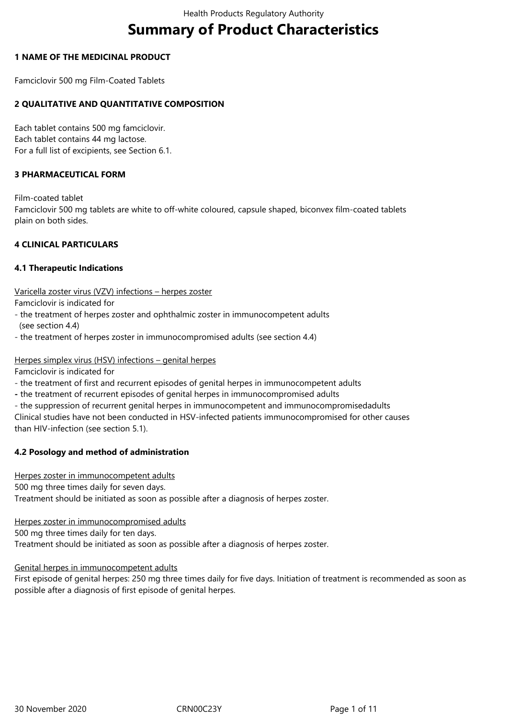# **Summary of Product Characteristics**

## **1 NAME OF THE MEDICINAL PRODUCT**

Famciclovir 500 mg Film-Coated Tablets

# **2 QUALITATIVE AND QUANTITATIVE COMPOSITION**

Each tablet contains 500 mg famciclovir. Each tablet contains 44 mg lactose. For a full list of excipients, see Section 6.1.

## **3 PHARMACEUTICAL FORM**

Film-coated tablet

Famciclovir 500 mg tablets are white to off-white coloured, capsule shaped, biconvex film-coated tablets plain on both sides.

## **4 CLINICAL PARTICULARS**

## **4.1 Therapeutic Indications**

Varicella zoster virus (VZV) infections – herpes zoster

Famciclovir is indicated for

- the treatment of herpes zoster and ophthalmic zoster in immunocompetent adults (see section 4.4)
- the treatment of herpes zoster in immunocompromised adults (see section 4.4)

## Herpes simplex virus (HSV) infections – genital herpes

Famciclovir is indicated for

- the treatment of first and recurrent episodes of genital herpes in immunocompetent adults
- the treatment of recurrent episodes of genital herpes in immunocompromised adults
- the suppression of recurrent genital herpes in immunocompetent and immunocompromisedadults

Clinical studies have not been conducted in HSV-infected patients immunocompromised for other causes than HIV-infection (see section 5.1).

# **4.2 Posology and method of administration**

Herpes zoster in immunocompetent adults

500 mg three times daily for seven days.

Treatment should be initiated as soon as possible after a diagnosis of herpes zoster.

Herpes zoster in immunocompromised adults

500 mg three times daily for ten days.

Treatment should be initiated as soon as possible after a diagnosis of herpes zoster.

Genital herpes in immunocompetent adults

First episode of genital herpes: 250 mg three times daily for five days. Initiation of treatment is recommended as soon as possible after a diagnosis of first episode of genital herpes.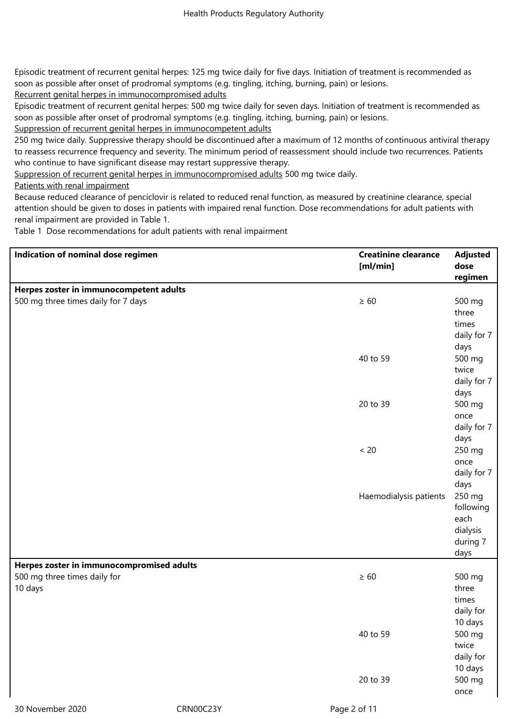Episodic treatment of recurrent genital herpes: 125 mg twice daily for five days. Initiation of treatment is recommended as soon as possible after onset of prodromal symptoms (e.g. tingling, itching, burning, pain) or lesions.

Recurrent genital herpes in immunocompromised adults

Episodic treatment of recurrent genital herpes: 500 mg twice daily for seven days. Initiation of treatment is recommended as soon as possible after onset of prodromal symptoms (e.g. tingling, itching, burning, pain) or lesions.

Suppression of recurrent genital herpes in immunocompetent adults

250 mg twice daily. Suppressive therapy should be discontinued after a maximum of 12 months of continuous antiviral therapy to reassess recurrence frequency and severity. The minimum period of reassessment should include two recurrences. Patients who continue to have significant disease may restart suppressive therapy.

Suppression of recurrent genital herpes in immunocompromised adults 500 mg twice daily.

Patients with renal impairment

Because reduced clearance of penciclovir is related to reduced renal function, as measured by creatinine clearance, special attention should be given to doses in patients with impaired renal function. Dose recommendations for adult patients with renal impairment are provided in Table 1.

Table 1 Dose recommendations for adult patients with renal impairment

| Indication of nominal dose regimen        |           | <b>Creatinine clearance</b> | <b>Adjusted</b> |
|-------------------------------------------|-----------|-----------------------------|-----------------|
|                                           |           | [m]/min]                    | dose            |
|                                           |           |                             | regimen         |
| Herpes zoster in immunocompetent adults   |           |                             |                 |
| 500 mg three times daily for 7 days       |           | $\geq 60$                   | 500 mg          |
|                                           |           |                             | three           |
|                                           |           |                             | times           |
|                                           |           |                             | daily for 7     |
|                                           |           |                             | days            |
|                                           |           | 40 to 59                    | 500 mg          |
|                                           |           |                             | twice           |
|                                           |           |                             | daily for 7     |
|                                           |           |                             | days            |
|                                           |           | 20 to 39                    | 500 mg          |
|                                           |           |                             | once            |
|                                           |           |                             | daily for 7     |
|                                           |           |                             | days            |
|                                           |           | $< 20$                      | 250 mg          |
|                                           |           |                             | once            |
|                                           |           |                             | daily for 7     |
|                                           |           |                             | days            |
|                                           |           | Haemodialysis patients      | 250 mg          |
|                                           |           |                             | following       |
|                                           |           |                             | each            |
|                                           |           |                             | dialysis        |
|                                           |           |                             | during 7        |
|                                           |           |                             | days            |
| Herpes zoster in immunocompromised adults |           |                             |                 |
| 500 mg three times daily for              |           | $\geq 60$                   | 500 mg          |
| 10 days                                   |           |                             | three           |
|                                           |           |                             | times           |
|                                           |           |                             | daily for       |
|                                           |           |                             | 10 days         |
|                                           |           | 40 to 59                    | 500 mg          |
|                                           |           |                             | twice           |
|                                           |           |                             | daily for       |
|                                           |           |                             | 10 days         |
|                                           |           | 20 to 39                    | 500 mg          |
|                                           |           |                             | once            |
| 30 November 2020                          | CRN00C23Y | Page 2 of 11                |                 |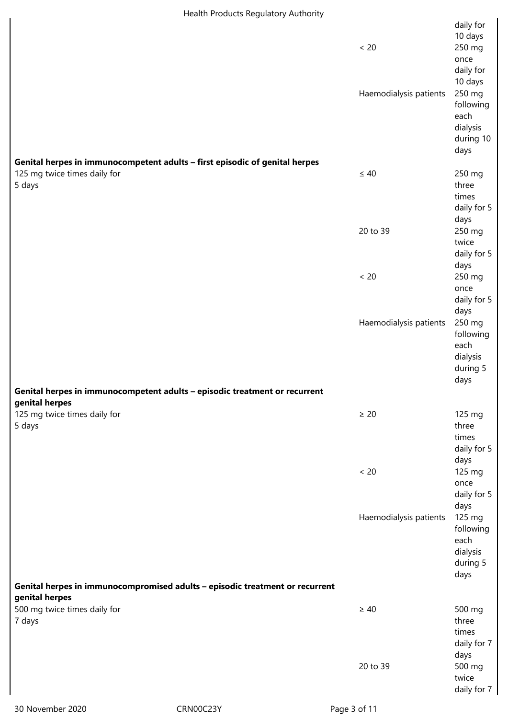| Health Products Regulatory Authority                                                                                  |                        |                                                                                              |  |
|-----------------------------------------------------------------------------------------------------------------------|------------------------|----------------------------------------------------------------------------------------------|--|
|                                                                                                                       | < 20                   | daily for<br>10 days<br>250 mg                                                               |  |
|                                                                                                                       | Haemodialysis patients | once<br>daily for<br>10 days<br>250 mg<br>following<br>each<br>dialysis<br>during 10<br>days |  |
| Genital herpes in immunocompetent adults - first episodic of genital herpes<br>125 mg twice times daily for<br>5 days | $\leq 40$              | 250 mg<br>three                                                                              |  |
|                                                                                                                       |                        | times<br>daily for 5<br>days                                                                 |  |
|                                                                                                                       | 20 to 39               | 250 mg<br>twice<br>daily for 5                                                               |  |
|                                                                                                                       | $< 20$                 | days<br>250 mg<br>once<br>daily for 5                                                        |  |
|                                                                                                                       | Haemodialysis patients | days<br>250 mg<br>following<br>each<br>dialysis<br>during 5<br>days                          |  |
| Genital herpes in immunocompetent adults - episodic treatment or recurrent                                            |                        |                                                                                              |  |
| genital herpes                                                                                                        |                        |                                                                                              |  |
| 125 mg twice times daily for<br>5 days                                                                                | $\geq 20$              | 125 mg<br>three<br>times<br>daily for 5<br>days                                              |  |
|                                                                                                                       | $< 20$                 | 125 mg<br>once<br>daily for 5<br>days                                                        |  |
|                                                                                                                       | Haemodialysis patients | 125 mg<br>following<br>each<br>dialysis<br>during 5<br>days                                  |  |
| Genital herpes in immunocompromised adults - episodic treatment or recurrent                                          |                        |                                                                                              |  |
| genital herpes<br>500 mg twice times daily for<br>7 days                                                              | $\geq 40$              | 500 mg<br>three<br>times<br>daily for 7                                                      |  |
|                                                                                                                       | 20 to 39               | days<br>500 mg<br>twice<br>daily for 7                                                       |  |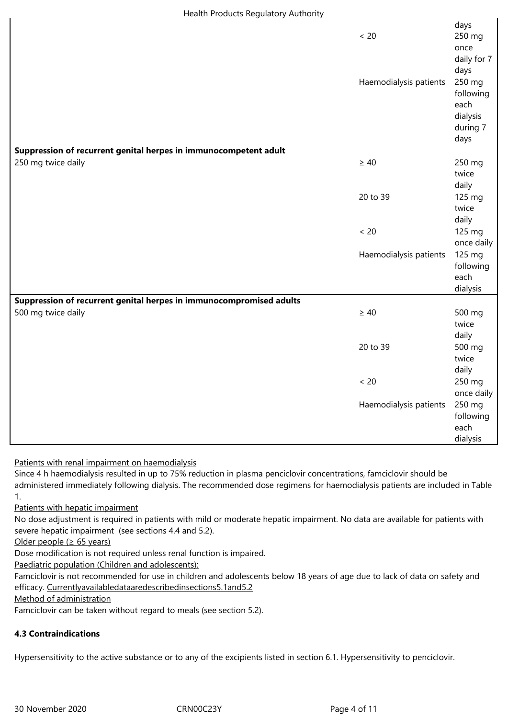| Health Products Regulatory Authority                                |                        |                                                             |
|---------------------------------------------------------------------|------------------------|-------------------------------------------------------------|
|                                                                     | < 20                   | days<br>250 mg<br>once<br>daily for 7<br>days               |
|                                                                     | Haemodialysis patients | 250 mg<br>following<br>each<br>dialysis<br>during 7<br>days |
| Suppression of recurrent genital herpes in immunocompetent adult    |                        |                                                             |
| 250 mg twice daily                                                  | $\geq 40$              | 250 mg<br>twice<br>daily                                    |
|                                                                     | 20 to 39               | 125 mg<br>twice<br>daily                                    |
|                                                                     | $< 20$                 | 125 mg<br>once daily                                        |
|                                                                     | Haemodialysis patients | 125 mg<br>following<br>each<br>dialysis                     |
| Suppression of recurrent genital herpes in immunocompromised adults |                        |                                                             |
| 500 mg twice daily                                                  | $\geq 40$              | 500 mg<br>twice<br>daily                                    |
|                                                                     | 20 to 39               | 500 mg<br>twice<br>daily                                    |
|                                                                     | $< 20$                 | 250 mg<br>once daily                                        |
|                                                                     | Haemodialysis patients | 250 mg<br>following                                         |
|                                                                     |                        | each                                                        |
|                                                                     |                        | dialysis                                                    |

# Patients with renal impairment on haemodialysis

Since 4 h haemodialysis resulted in up to 75% reduction in plasma penciclovir concentrations, famciclovir should be administered immediately following dialysis. The recommended dose regimens for haemodialysis patients are included in Table 1.

# Patients with hepatic impairment

No dose adjustment is required in patients with mild or moderate hepatic impairment. No data are available for patients with severe hepatic impairment (see sections 4.4 and 5.2).

Older people ( $\geq 65$  years)

Dose modification is not required unless renal function is impaired.

Paediatric population (Children and adolescents):

Famciclovir is not recommended for use in children and adolescents below 18 years of age due to lack of data on safety and efficacy. Currentlyavailabledataaredescribedinsections5.1and5.2

Method of administration

Famciclovir can be taken without regard to meals (see section 5.2).

# **4.3 Contraindications**

Hypersensitivity to the active substance or to any of the excipients listed in section 6.1. Hypersensitivity to penciclovir.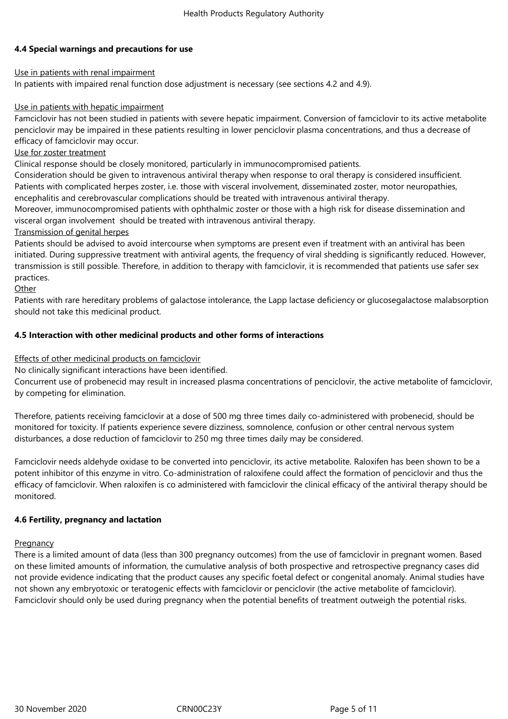# **4.4 Special warnings and precautions for use**

# Use in patients with renal impairment

In patients with impaired renal function dose adjustment is necessary (see sections 4.2 and 4.9).

## Use in patients with hepatic impairment

Famciclovir has not been studied in patients with severe hepatic impairment. Conversion of famciclovir to its active metabolite penciclovir may be impaired in these patients resulting in lower penciclovir plasma concentrations, and thus a decrease of efficacy of famciclovir may occur.

## Use for zoster treatment

Clinical response should be closely monitored, particularly in immunocompromised patients.

Consideration should be given to intravenous antiviral therapy when response to oral therapy is considered insufficient. Patients with complicated herpes zoster, i.e. those with visceral involvement, disseminated zoster, motor neuropathies, encephalitis and cerebrovascular complications should be treated with intravenous antiviral therapy.

Moreover, immunocompromised patients with ophthalmic zoster or those with a high risk for disease dissemination and visceral organ involvement should be treated with intravenous antiviral therapy.

## Transmission of genital herpes

Patients should be advised to avoid intercourse when symptoms are present even if treatment with an antiviral has been initiated. During suppressive treatment with antiviral agents, the frequency of viral shedding is significantly reduced. However, transmission is still possible. Therefore, in addition to therapy with famciclovir, it is recommended that patients use safer sex practices.

## **Other**

Patients with rare hereditary problems of galactose intolerance, the Lapp lactase deficiency or glucosegalactose malabsorption should not take this medicinal product.

## **4.5 Interaction with other medicinal products and other forms of interactions**

## Effects of other medicinal products on famciclovir

No clinically significant interactions have been identified.

Concurrent use of probenecid may result in increased plasma concentrations of penciclovir, the active metabolite of famciclovir, by competing for elimination.

Therefore, patients receiving famciclovir at a dose of 500 mg three times daily co-administered with probenecid, should be monitored for toxicity. If patients experience severe dizziness, somnolence, confusion or other central nervous system disturbances, a dose reduction of famciclovir to 250 mg three times daily may be considered.

Famciclovir needs aldehyde oxidase to be converted into penciclovir, its active metabolite. Raloxifen has been shown to be a potent inhibitor of this enzyme in vitro. Co-administration of raloxifene could affect the formation of penciclovir and thus the efficacy of famciclovir. When raloxifen is co administered with famciclovir the clinical efficacy of the antiviral therapy should be monitored.

#### **4.6 Fertility, pregnancy and lactation**

#### **Pregnancy**

There is a limited amount of data (less than 300 pregnancy outcomes) from the use of famciclovir in pregnant women. Based on these limited amounts of information, the cumulative analysis of both prospective and retrospective pregnancy cases did not provide evidence indicating that the product causes any specific foetal defect or congenital anomaly. Animal studies have not shown any embryotoxic or teratogenic effects with famciclovir or penciclovir (the active metabolite of famciclovir). Famciclovir should only be used during pregnancy when the potential benefits of treatment outweigh the potential risks.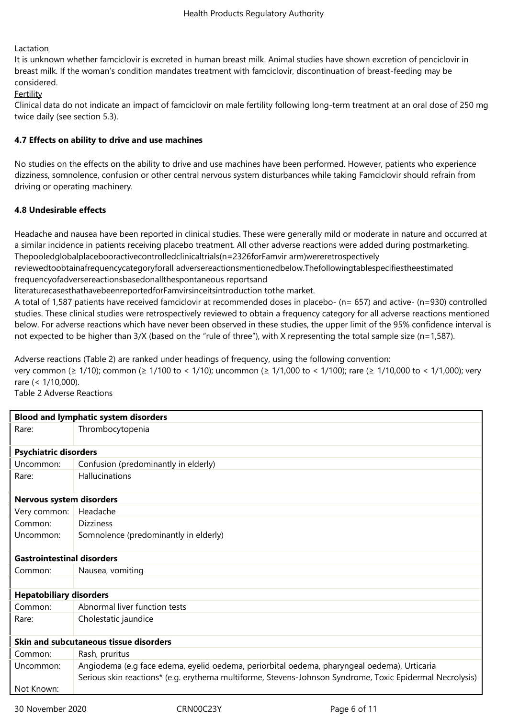## Lactation

It is unknown whether famciclovir is excreted in human breast milk. Animal studies have shown excretion of penciclovir in breast milk. If the woman's condition mandates treatment with famciclovir, discontinuation of breast-feeding may be considered.

Fertility

Clinical data do not indicate an impact of famciclovir on male fertility following long-term treatment at an oral dose of 250 mg twice daily (see section 5.3).

## **4.7 Effects on ability to drive and use machines**

No studies on the effects on the ability to drive and use machines have been performed. However, patients who experience dizziness, somnolence, confusion or other central nervous system disturbances while taking Famciclovir should refrain from driving or operating machinery.

# **4.8 Undesirable effects**

Headache and nausea have been reported in clinical studies. These were generally mild or moderate in nature and occurred at a similar incidence in patients receiving placebo treatment. All other adverse reactions were added during postmarketing. Thepooledglobalplacebooractivecontrolledclinicaltrials(n=2326forFamvir arm)wereretrospectively

reviewedtoobtainafrequencycategoryforall adversereactionsmentionedbelow.Thefollowingtablespecifiestheestimated

frequencyofadversereactionsbasedonallthespontaneous reportsand literaturecasesthathavebeenreportedforFamvirsinceitsintroduction tothe market.

A total of 1,587 patients have received famciclovir at recommended doses in placebo- (n= 657) and active- (n=930) controlled studies. These clinical studies were retrospectively reviewed to obtain a frequency category for all adverse reactions mentioned below. For adverse reactions which have never been observed in these studies, the upper limit of the 95% confidence interval is not expected to be higher than 3/X (based on the "rule of three"), with X representing the total sample size (n=1,587).

Adverse reactions (Table 2) are ranked under headings of frequency, using the following convention: very common (≥ 1/10); common (≥ 1/100 to < 1/10); uncommon (≥ 1/1,000 to < 1/100); rare (≥ 1/10,000 to < 1/1,000); very rare (< 1/10,000).

Table 2 Adverse Reactions

| <b>Blood and lymphatic system disorders</b> |                                                                                                                                                                                                         |  |
|---------------------------------------------|---------------------------------------------------------------------------------------------------------------------------------------------------------------------------------------------------------|--|
| Rare:                                       | Thrombocytopenia                                                                                                                                                                                        |  |
| <b>Psychiatric disorders</b>                |                                                                                                                                                                                                         |  |
| Uncommon:                                   | Confusion (predominantly in elderly)                                                                                                                                                                    |  |
| Rare:                                       | Hallucinations                                                                                                                                                                                          |  |
| Nervous system disorders                    |                                                                                                                                                                                                         |  |
| Very common:                                | Headache                                                                                                                                                                                                |  |
| Common:                                     | <b>Dizziness</b>                                                                                                                                                                                        |  |
| Uncommon:                                   | Somnolence (predominantly in elderly)                                                                                                                                                                   |  |
| <b>Gastrointestinal disorders</b>           |                                                                                                                                                                                                         |  |
| Common:                                     | Nausea, vomiting                                                                                                                                                                                        |  |
|                                             |                                                                                                                                                                                                         |  |
| <b>Hepatobiliary disorders</b>              |                                                                                                                                                                                                         |  |
| Common:                                     | Abnormal liver function tests                                                                                                                                                                           |  |
| Rare:                                       | Cholestatic jaundice                                                                                                                                                                                    |  |
| Skin and subcutaneous tissue disorders      |                                                                                                                                                                                                         |  |
| Common:                                     | Rash, pruritus                                                                                                                                                                                          |  |
| Uncommon:                                   | Angiodema (e.g face edema, eyelid oedema, periorbital oedema, pharyngeal oedema), Urticaria<br>Serious skin reactions* (e.g. erythema multiforme, Stevens-Johnson Syndrome, Toxic Epidermal Necrolysis) |  |
| Not Known:                                  |                                                                                                                                                                                                         |  |

30 November 2020 CRN00C23Y Page 6 of 11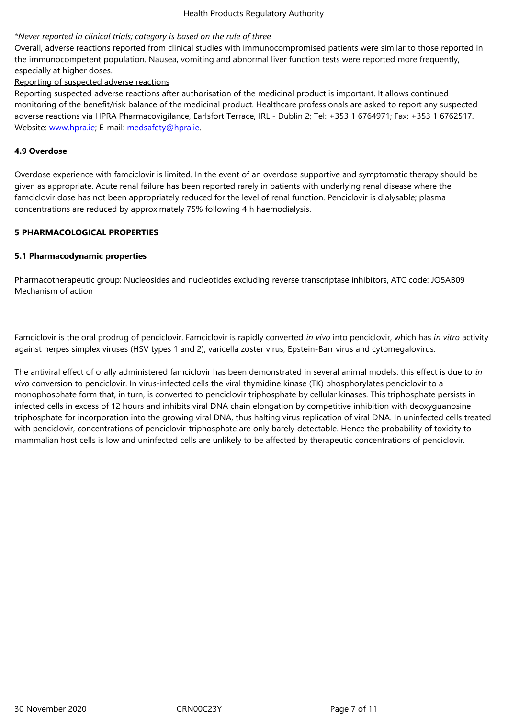Overall, adverse reactions reported from clinical studies with immunocompromised patients were similar to those reported in the immunocompetent population. Nausea, vomiting and abnormal liver function tests were reported more frequently, especially at higher doses.

## Reporting of suspected adverse reactions

Reporting suspected adverse reactions after authorisation of the medicinal product is important. It allows continued monitoring of the benefit/risk balance of the medicinal product. Healthcare professionals are asked to report any suspected adverse reactions via HPRA Pharmacovigilance, Earlsfort Terrace, IRL - Dublin 2; Tel: +353 1 6764971; Fax: +353 1 6762517. Website: www.hpra.ie; E-mail: medsafety@hpra.ie.

## **4.9 Overdose**

Overdos[e experience](http://www.hpra.ie/) with fa[mciclovir is limited. In](mailto:medsafety@hpra.ie) the event of an overdose supportive and symptomatic therapy should be given as appropriate. Acute renal failure has been reported rarely in patients with underlying renal disease where the famciclovir dose has not been appropriately reduced for the level of renal function. Penciclovir is dialysable; plasma concentrations are reduced by approximately 75% following 4 h haemodialysis.

## **5 PHARMACOLOGICAL PROPERTIES**

## **5.1 Pharmacodynamic properties**

Pharmacotherapeutic group: Nucleosides and nucleotides excluding reverse transcriptase inhibitors, ATC code: JO5AB09 Mechanism of action

Famciclovir is the oral prodrug of penciclovir. Famciclovir is rapidly converted *in vivo* into penciclovir, which has *in vitro* activity against herpes simplex viruses (HSV types 1 and 2), varicella zoster virus, Epstein-Barr virus and cytomegalovirus.

The antiviral effect of orally administered famciclovir has been demonstrated in several animal models: this effect is due to *in vivo* conversion to penciclovir. In virus-infected cells the viral thymidine kinase (TK) phosphorylates penciclovir to a monophosphate form that, in turn, is converted to penciclovir triphosphate by cellular kinases. This triphosphate persists in infected cells in excess of 12 hours and inhibits viral DNA chain elongation by competitive inhibition with deoxyguanosine triphosphate for incorporation into the growing viral DNA, thus halting virus replication of viral DNA. In uninfected cells treated with penciclovir, concentrations of penciclovir-triphosphate are only barely detectable. Hence the probability of toxicity to mammalian host cells is low and uninfected cells are unlikely to be affected by therapeutic concentrations of penciclovir.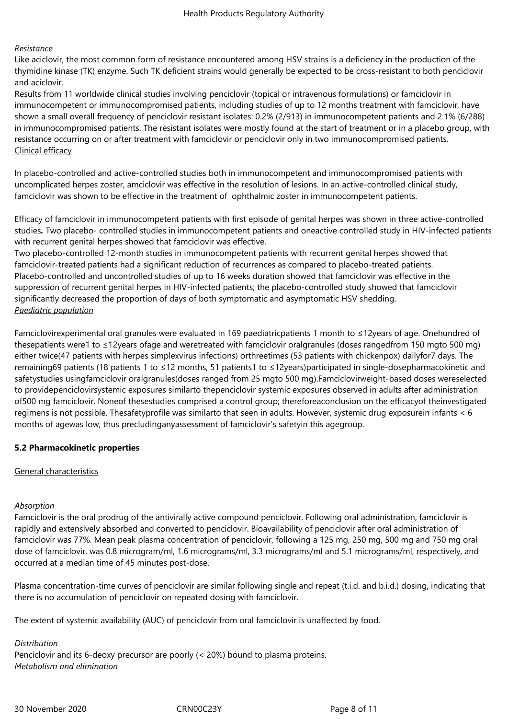### *Resistance*

Like aciclovir, the most common form of resistance encountered among HSV strains is a deficiency in the production of the thymidine kinase (TK) enzyme. Such TK deficient strains would generally be expected to be cross-resistant to both penciclovir and aciclovir.

Results from 11 worldwide clinical studies involving penciclovir (topical or intravenous formulations) or famciclovir in immunocompetent or immunocompromised patients, including studies of up to 12 months treatment with famciclovir, have shown a small overall frequency of penciclovir resistant isolates: 0.2% (2/913) in immunocompetent patients and 2.1% (6/288) in immunocompromised patients. The resistant isolates were mostly found at the start of treatment or in a placebo group, with resistance occurring on or after treatment with famciclovir or penciclovir only in two immunocompromised patients. Clinical efficacy

In placebo-controlled and active-controlled studies both in immunocompetent and immunocompromised patients with uncomplicated herpes zoster, amciclovir was effective in the resolution of lesions. In an active-controlled clinical study, famciclovir was shown to be effective in the treatment of ophthalmic zoster in immunocompetent patients.

Efficacy of famciclovir in immunocompetent patients with first episode of genital herpes was shown in three active-controlled studies*.* Two placebo- controlled studies in immunocompetent patients and oneactive controlled study in HIV-infected patients with recurrent genital herpes showed that famciclovir was effective.

Two placebo-controlled 12-month studies in immunocompetent patients with recurrent genital herpes showed that famciclovir-treated patients had a significant reduction of recurrences as compared to placebo-treated patients. Placebo-controlled and uncontrolled studies of up to 16 weeks duration showed that famciclovir was effective in the suppression of recurrent genital herpes in HIV-infected patients; the placebo-controlled study showed that famciclovir significantly decreased the proportion of days of both symptomatic and asymptomatic HSV shedding. *Paediatric population*

Famciclovirexperimental oral granules were evaluated in 169 paediatricpatients 1 month to ≤12years of age. Onehundred of thesepatients were1 to ≤12years ofage and weretreated with famciclovir oralgranules (doses rangedfrom 150 mgto 500 mg) either twice(47 patients with herpes simplexvirus infections) orthreetimes (53 patients with chickenpox) dailyfor7 days. The remaining69 patients (18 patients 1 to ≤12 months, 51 patients1 to ≤12years)participated in single-dosepharmacokinetic and safetystudies usingfamciclovir oralgranules(doses ranged from 25 mgto 500 mg).Famciclovirweight-based doses wereselected to providepenciclovirsystemic exposures similarto thepenciclovir systemic exposures observed in adults after administration of500 mg famciclovir. Noneof thesestudies comprised a control group; thereforeaconclusion on the efficacyof theinvestigated regimens is not possible. Thesafetyprofile was similarto that seen in adults. However, systemic drug exposurein infants < 6 months of agewas low, thus precludinganyassessment of famciclovir's safetyin this agegroup.

# **5.2 Pharmacokinetic properties**

#### General characteristics

#### *Absorption*

Famciclovir is the oral prodrug of the antivirally active compound penciclovir. Following oral administration, famciclovir is rapidly and extensively absorbed and converted to penciclovir. Bioavailability of penciclovir after oral administration of famciclovir was 77%. Mean peak plasma concentration of penciclovir, following a 125 mg, 250 mg, 500 mg and 750 mg oral dose of famciclovir, was 0.8 microgram/ml, 1.6 micrograms/ml, 3.3 micrograms/ml and 5.1 micrograms/ml, respectively, and occurred at a median time of 45 minutes post-dose.

Plasma concentration-time curves of penciclovir are similar following single and repeat (t.i.d. and b.i.d.) dosing, indicating that there is no accumulation of penciclovir on repeated dosing with famciclovir.

The extent of systemic availability (AUC) of penciclovir from oral famciclovir is unaffected by food.

#### *Distribution*

Penciclovir and its 6-deoxy precursor are poorly (< 20%) bound to plasma proteins. *Metabolism and elimination*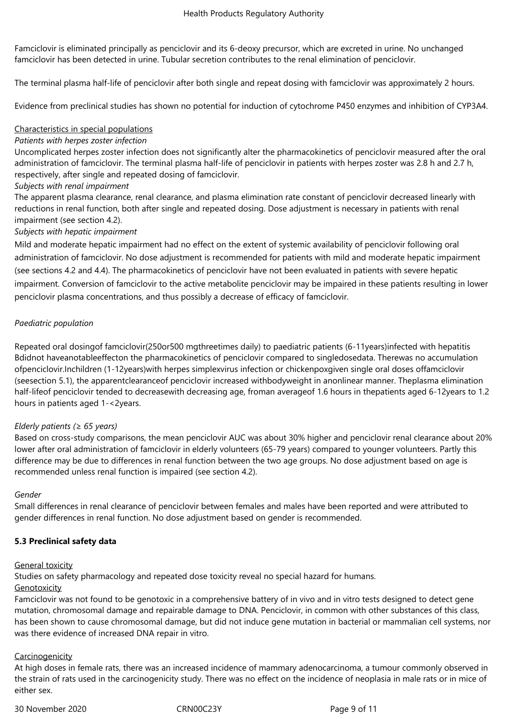Famciclovir is eliminated principally as penciclovir and its 6-deoxy precursor, which are excreted in urine. No unchanged famciclovir has been detected in urine. Tubular secretion contributes to the renal elimination of penciclovir.

The terminal plasma half-life of penciclovir after both single and repeat dosing with famciclovir was approximately 2 hours.

Evidence from preclinical studies has shown no potential for induction of cytochrome P450 enzymes and inhibition of CYP3A4.

## Characteristics in special populations

## *Patients with herpes zoster infection*

Uncomplicated herpes zoster infection does not significantly alter the pharmacokinetics of penciclovir measured after the oral administration of famciclovir. The terminal plasma half-life of penciclovir in patients with herpes zoster was 2.8 h and 2.7 h, respectively, after single and repeated dosing of famciclovir.

## *Subjects with renal impairment*

The apparent plasma clearance, renal clearance, and plasma elimination rate constant of penciclovir decreased linearly with reductions in renal function, both after single and repeated dosing. Dose adjustment is necessary in patients with renal impairment (see section 4.2).

## *Subjects with hepatic impairment*

Mild and moderate hepatic impairment had no effect on the extent of systemic availability of penciclovir following oral administration of famciclovir. No dose adjustment is recommended for patients with mild and moderate hepatic impairment (see sections 4.2 and 4.4). The pharmacokinetics of penciclovir have not been evaluated in patients with severe hepatic impairment. Conversion of famciclovir to the active metabolite penciclovir may be impaired in these patients resulting in lower penciclovir plasma concentrations, and thus possibly a decrease of efficacy of famciclovir.

# *Paediatric population*

Repeated oral dosingof famciclovir(250or500 mgthreetimes daily) to paediatric patients (6-11years)infected with hepatitis Bdidnot haveanotableeffecton the pharmacokinetics of penciclovir compared to singledosedata. Therewas no accumulation ofpenciclovir.Inchildren (1-12years)with herpes simplexvirus infection or chickenpoxgiven single oral doses offamciclovir (seesection 5.1), the apparentclearanceof penciclovir increased withbodyweight in anonlinear manner. Theplasma elimination half-lifeof penciclovir tended to decreasewith decreasing age, froman averageof 1.6 hours in thepatients aged 6-12years to 1.2 hours in patients aged 1-<2years.

#### *Elderly patients (≥ 65 years)*

Based on cross-study comparisons, the mean penciclovir AUC was about 30% higher and penciclovir renal clearance about 20% lower after oral administration of famciclovir in elderly volunteers (65-79 years) compared to younger volunteers. Partly this difference may be due to differences in renal function between the two age groups. No dose adjustment based on age is recommended unless renal function is impaired (see section 4.2).

#### *Gender*

Small differences in renal clearance of penciclovir between females and males have been reported and were attributed to gender differences in renal function. No dose adjustment based on gender is recommended.

#### **5.3 Preclinical safety data**

## General toxicity

Studies on safety pharmacology and repeated dose toxicity reveal no special hazard for humans.

#### Genotoxicity

Famciclovir was not found to be genotoxic in a comprehensive battery of in vivo and in vitro tests designed to detect gene mutation, chromosomal damage and repairable damage to DNA. Penciclovir, in common with other substances of this class, has been shown to cause chromosomal damage, but did not induce gene mutation in bacterial or mammalian cell systems, nor was there evidence of increased DNA repair in vitro.

#### **Carcinogenicity**

At high doses in female rats, there was an increased incidence of mammary adenocarcinoma, a tumour commonly observed in the strain of rats used in the carcinogenicity study. There was no effect on the incidence of neoplasia in male rats or in mice of either sex.

30 November 2020 CRN00C23Y Page 9 of 11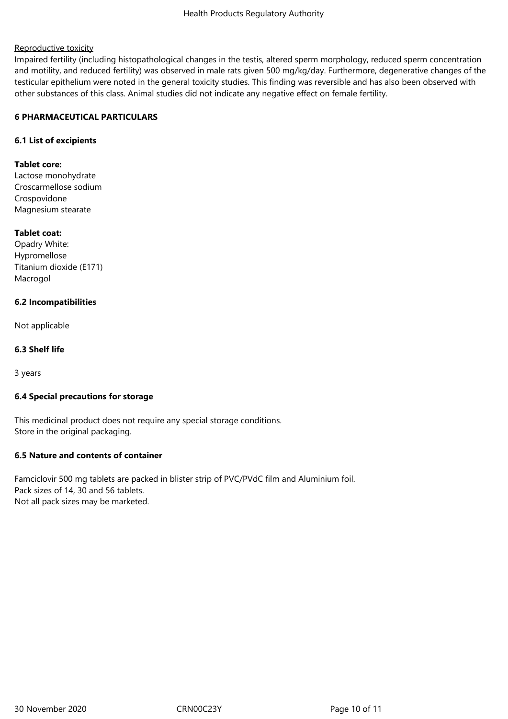## Reproductive toxicity

Impaired fertility (including histopathological changes in the testis, altered sperm morphology, reduced sperm concentration and motility, and reduced fertility) was observed in male rats given 500 mg/kg/day. Furthermore, degenerative changes of the testicular epithelium were noted in the general toxicity studies. This finding was reversible and has also been observed with other substances of this class. Animal studies did not indicate any negative effect on female fertility.

## **6 PHARMACEUTICAL PARTICULARS**

## **6.1 List of excipients**

#### **Tablet core:**

Lactose monohydrate Croscarmellose sodium Crospovidone Magnesium stearate

## **Tablet coat:**

Opadry White: Hypromellose Titanium dioxide (E171) Macrogol

## **6.2 Incompatibilities**

Not applicable

## **6.3 Shelf life**

3 years

## **6.4 Special precautions for storage**

This medicinal product does not require any special storage conditions. Store in the original packaging.

#### **6.5 Nature and contents of container**

Famciclovir 500 mg tablets are packed in blister strip of PVC/PVdC film and Aluminium foil. Pack sizes of 14, 30 and 56 tablets. Not all pack sizes may be marketed.